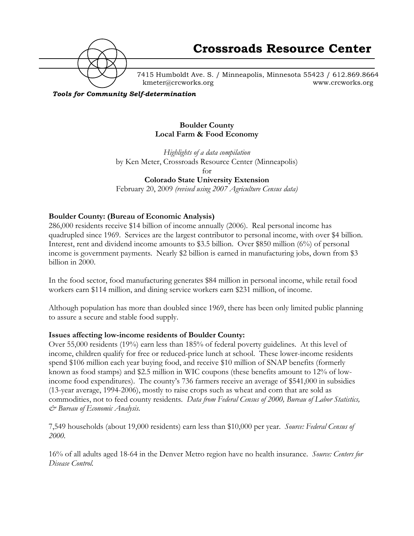

7415 Humboldt Ave. S. / Minneapolis, Minnesota 55423 / 612.869.8664 kmeter@crcworks.org www.crcworks.org

*Tools for Community Self-determination*

#### **Boulder County Local Farm & Food Economy**

*Highlights of a data compilation*  by Ken Meter, Crossroads Resource Center (Minneapolis) for **Colorado State University Extension** 

February 20, 2009 *(revised using 2007 Agriculture Census data)*

### **Boulder County: (Bureau of Economic Analysis)**

286,000 residents receive \$14 billion of income annually (2006). Real personal income has quadrupled since 1969. Services are the largest contributor to personal income, with over \$4 billion. Interest, rent and dividend income amounts to \$3.5 billion. Over \$850 million (6%) of personal income is government payments. Nearly \$2 billion is earned in manufacturing jobs, down from \$3 billion in 2000.

In the food sector, food manufacturing generates \$84 million in personal income, while retail food workers earn \$114 million, and dining service workers earn \$231 million, of income.

Although population has more than doubled since 1969, there has been only limited public planning to assure a secure and stable food supply.

#### **Issues affecting low-income residents of Boulder County:**

Over 55,000 residents (19%) earn less than 185% of federal poverty guidelines. At this level of income, children qualify for free or reduced-price lunch at school. These lower-income residents spend \$106 million each year buying food, and receive \$10 million of SNAP benefits (formerly known as food stamps) and \$2.5 million in WIC coupons (these benefits amount to 12% of lowincome food expenditures). The county's 736 farmers receive an average of \$541,000 in subsidies (13-year average, 1994-2006), mostly to raise crops such as wheat and corn that are sold as commodities, not to feed county residents. *Data from Federal Census of 2000, Bureau of Labor Statistics, & Bureau of Economic Analysis.*

7,549 households (about 19,000 residents) earn less than \$10,000 per year. *Source: Federal Census of 2000.*

16% of all adults aged 18-64 in the Denver Metro region have no health insurance. *Source: Centers for Disease Control.*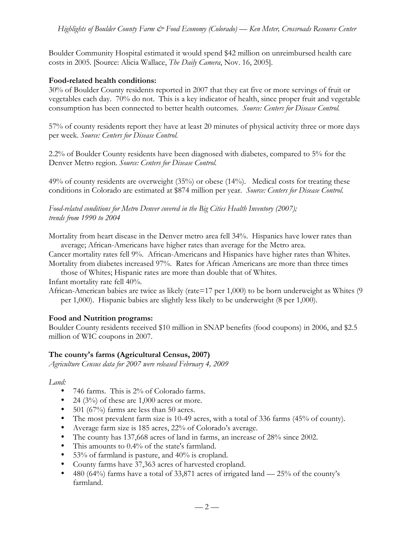Boulder Community Hospital estimated it would spend \$42 million on unreimbursed health care costs in 2005. [Source: Alicia Wallace, *The Daily Camera*, Nov. 16, 2005].

#### **Food-related health conditions:**

30% of Boulder County residents reported in 2007 that they eat five or more servings of fruit or vegetables each day. 70% do not. This is a key indicator of health, since proper fruit and vegetable consumption has been connected to better health outcomes. *Source: Centers for Disease Control.*

57% of county residents report they have at least 20 minutes of physical activity three or more days per week. *Source: Centers for Disease Control.*

2.2% of Boulder County residents have been diagnosed with diabetes, compared to 5% for the Denver Metro region. *Source: Centers for Disease Control.*

49% of county residents are overweight (35%) or obese (14%). Medical costs for treating these conditions in Colorado are estimated at \$874 million per year. *Source: Centers for Disease Control.*

*Food-related conditions for Metro Denver covered in the Big Cities Health Inventory (2007); trends from 1990 to 2004*

Mortality from heart disease in the Denver metro area fell 34%. Hispanics have lower rates than average; African-Americans have higher rates than average for the Metro area.

Cancer mortality rates fell 9%. African-Americans and Hispanics have higher rates than Whites. Mortality from diabetes increased 97%. Rates for African Americans are more than three times

those of Whites; Hispanic rates are more than double that of Whites. Infant mortality rate fell 40%.

African-American babies are twice as likely (rate=17 per 1,000) to be born underweight as Whites (9 per 1,000). Hispanic babies are slightly less likely to be underweight (8 per 1,000).

#### **Food and Nutrition programs:**

Boulder County residents received \$10 million in SNAP benefits (food coupons) in 2006, and \$2.5 million of WIC coupons in 2007.

#### **The county's farms (Agricultural Census, 2007)**

*Agriculture Census data for 2007 were released February 4, 2009*

#### *Land:*

- 746 farms. This is 2% of Colorado farms.
- 24 (3%) of these are  $1,000$  acres or more.
- 501 (67%) farms are less than 50 acres.
- The most prevalent farm size is 10-49 acres, with a total of 336 farms (45% of county).
- Average farm size is 185 acres, 22% of Colorado's average.
- The county has 137,668 acres of land in farms, an increase of 28% since 2002.
- This amounts to 0.4% of the state's farmland.
- 53% of farmland is pasture, and 40% is cropland.
- County farms have 37,363 acres of harvested cropland.
- 480 (64%) farms have a total of 33,871 acres of irrigated land  $-25\%$  of the county's farmland.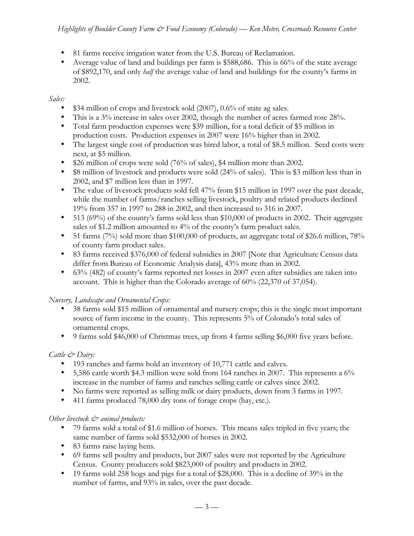- 81 farms receive irrigation water from the U.S. Bureau of Reclamation.
- Average value of land and buildings per farm is \$588,686. This is 66% of the state average of \$892,170, and only *half* the average value of land and buildings for the county's farms in 2002.

# *Sales:*

- \$34 million of crops and livestock sold (2007), 0.6% of state ag sales.
- This is a  $3\%$  increase in sales over 2002, though the number of acres farmed rose  $28\%$ .
- Total farm production expenses were \$39 million, for a total deficit of \$5 million in production costs. Production expenses in 2007 were 16% higher than in 2002.
- The largest single cost of production was hired labor, a total of \$8.5 million. Seed costs were next, at \$5 million.
- \$26 million of crops were sold (76% of sales), \$4 million more than 2002.
- \$8 million of livestock and products were sold (24% of sales). This is \$3 million less than in 2002, and \$7 million less than in 1997.
- The value of livestock products sold fell 47% from \$15 million in 1997 over the past decade, while the number of farms/ranches selling livestock, poultry and related products declined 19% from 357 in 1997 to 288 in 2002, and then increased to 316 in 2007.
- 513 (69%) of the county's farms sold less than \$10,000 of products in 2002. Their aggregate sales of \$1.2 million amounted to 4% of the county's farm product sales.
- 51 farms (7%) sold more than \$100,000 of products, an aggregate total of \$26.6 million, 78% of county farm product sales.
- 83 farms received \$376,000 of federal subsidies in 2007 [Note that Agriculture Census data differ from Bureau of Economic Analysis data], 43% more than in 2002.
- 63% (482) of county's farms reported net losses in 2007 even after subsidies are taken into account. This is higher than the Colorado average of 60% (22,370 of 37,054).

# *Nursery, Landscape and Ornamental Crops:*

- 38 farms sold \$15 million of ornamental and nursery crops; this is the single most important source of farm income in the county. This represents 5% of Colorado's total sales of ornamental crops.
- 9 farms sold \$46,000 of Christmas trees, up from 4 farms selling \$6,000 five years before.

# *Cattle & Dairy:*

- 193 ranches and farms hold an inventory of 10,771 cattle and calves.
- 5,586 cattle worth \$4.3 million were sold from 164 ranches in 2007. This represents a  $6\%$ increase in the number of farms and ranches selling cattle or calves since 2002.
- No farms were reported as selling milk or dairy products, down from 3 farms in 1997.
- 411 farms produced 78,000 dry tons of forage crops (hay, etc.).

# *Other livestock*  $\breve{c}$  *animal products:*

- 79 farms sold a total of \$1.6 million of horses. This means sales tripled in five years; the same number of farms sold \$532,000 of horses in 2002.
- 83 farms raise laying hens.
- 69 farms sell poultry and products, but 2007 sales were not reported by the Agriculture Census. County producers sold \$823,000 of poultry and products in 2002.
- 19 farms sold 258 hogs and pigs for a total of \$28,000. This is a decline of 39% in the number of farms, and 93% in sales, over the past decade.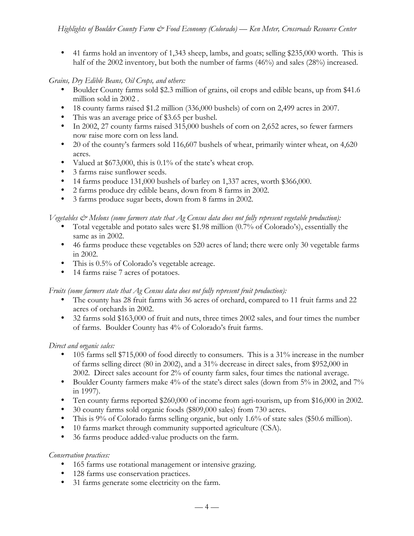• 41 farms hold an inventory of 1,343 sheep, lambs, and goats; selling \$235,000 worth. This is half of the 2002 inventory, but both the number of farms (46%) and sales (28%) increased.

# *Grains, Dry Edible Beans, Oil Crops, and others:*

- Boulder County farms sold \$2.3 million of grains, oil crops and edible beans, up from \$41.6 million sold in 2002 .
- 18 county farms raised \$1.2 million (336,000 bushels) of corn on 2,499 acres in 2007.
- This was an average price of \$3.65 per bushel.
- In 2002, 27 county farms raised 315,000 bushels of corn on 2,652 acres, so fewer farmers now raise more corn on less land.
- 20 of the county's farmers sold 116,607 bushels of wheat, primarily winter wheat, on 4,620 acres.
- Valued at \$673,000, this is 0.1% of the state's wheat crop.
- 3 farms raise sunflower seeds.
- 14 farms produce 131,000 bushels of barley on 1,337 acres, worth \$366,000.
- 2 farms produce dry edible beans, down from 8 farms in 2002.
- 3 farms produce sugar beets, down from 8 farms in 2002.

# *Vegetables & Melons (some farmers state that Ag Census data does not fully represent vegetable production):*

- Total vegetable and potato sales were \$1.98 million (0.7% of Colorado's), essentially the same as in 2002.
- 46 farms produce these vegetables on 520 acres of land; there were only 30 vegetable farms in 2002.
- This is 0.5% of Colorado's vegetable acreage.
- 14 farms raise 7 acres of potatoes.

# *Fruits (some farmers state that Ag Census data does not fully represent fruit production):*

- The county has 28 fruit farms with 36 acres of orchard, compared to 11 fruit farms and 22 acres of orchards in 2002.
- 32 farms sold \$163,000 of fruit and nuts, three times 2002 sales, and four times the number of farms. Boulder County has 4% of Colorado's fruit farms.

# *Direct and organic sales:*

- 105 farms sell \$715,000 of food directly to consumers. This is a  $31\%$  increase in the number of farms selling direct (80 in 2002), and a 31% decrease in direct sales, from \$952,000 in 2002. Direct sales account for 2% of county farm sales, four times the national average.
- Boulder County farmers make 4% of the state's direct sales (down from 5% in 2002, and 7% in 1997).
- Ten county farms reported \$260,000 of income from agri-tourism, up from \$16,000 in 2002.
- 30 county farms sold organic foods (\$809,000 sales) from 730 acres.
- This is 9% of Colorado farms selling organic, but only 1.6% of state sales (\$50.6 million).
- 10 farms market through community supported agriculture (CSA).
- 36 farms produce added-value products on the farm.

# *Conservation practices:*

- 165 farms use rotational management or intensive grazing.
- 128 farms use conservation practices.
- 31 farms generate some electricity on the farm.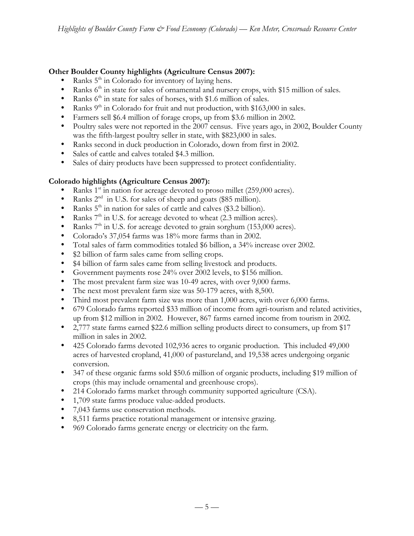# **Other Boulder County highlights (Agriculture Census 2007):**

- Ranks  $5<sup>th</sup>$  in Colorado for inventory of laying hens.
- Ranks  $6<sup>th</sup>$  in state for sales of ornamental and nursery crops, with \$15 million of sales.
- Ranks  $6<sup>th</sup>$  in state for sales of horses, with \$1.6 million of sales.
- Ranks  $9<sup>th</sup>$  in Colorado for fruit and nut production, with \$163,000 in sales.
- Farmers sell \$6.4 million of forage crops, up from \$3.6 million in 2002.
- Poultry sales were not reported in the 2007 census. Five years ago, in 2002, Boulder County was the fifth-largest poultry seller in state, with \$823,000 in sales.
- Ranks second in duck production in Colorado, down from first in 2002.
- Sales of cattle and calves totaled \$4.3 million.
- Sales of dairy products have been suppressed to protect confidentiality.

# **Colorado highlights (Agriculture Census 2007):**

- Ranks  $1<sup>st</sup>$  in nation for acreage devoted to proso millet (259,000 acres).
- Ranks  $2<sup>nd</sup>$  in U.S. for sales of sheep and goats (\$85 million).
- Ranks  $5^{\text{th}}$  in nation for sales of cattle and calves (\$3.2 billion).<br>• Ranks  $7^{\text{th}}$  in U.S. for acreage devoted to wheat (2.3 million act
- Ranks  $7<sup>th</sup>$  in U.S. for acreage devoted to wheat (2.3 million acres).
- Ranks  $7<sup>th</sup>$  in U.S. for acreage devoted to grain sorghum (153,000 acres).
- Colorado's 37,054 farms was 18% more farms than in 2002.
- Total sales of farm commodities totaled \$6 billion, a 34% increase over 2002.
- \$2 billion of farm sales came from selling crops.
- \$4 billion of farm sales came from selling livestock and products.
- Government payments rose 24% over 2002 levels, to \$156 million.
- The most prevalent farm size was 10-49 acres, with over 9,000 farms.
- The next most prevalent farm size was 50-179 acres, with 8,500.
- Third most prevalent farm size was more than 1,000 acres, with over 6,000 farms.
- 679 Colorado farms reported \$33 million of income from agri-tourism and related activities, up from \$12 million in 2002. However, 867 farms earned income from tourism in 2002.
- 2,777 state farms earned \$22.6 million selling products direct to consumers, up from \$17 million in sales in 2002.
- 425 Colorado farms devoted 102,936 acres to organic production. This included 49,000 acres of harvested cropland, 41,000 of pastureland, and 19,538 acres undergoing organic conversion.
- 347 of these organic farms sold \$50.6 million of organic products, including \$19 million of crops (this may include ornamental and greenhouse crops).
- 214 Colorado farms market through community supported agriculture (CSA).
- 1,709 state farms produce value-added products.
- 7,043 farms use conservation methods.
- 8,511 farms practice rotational management or intensive grazing.
- 969 Colorado farms generate energy or electricity on the farm.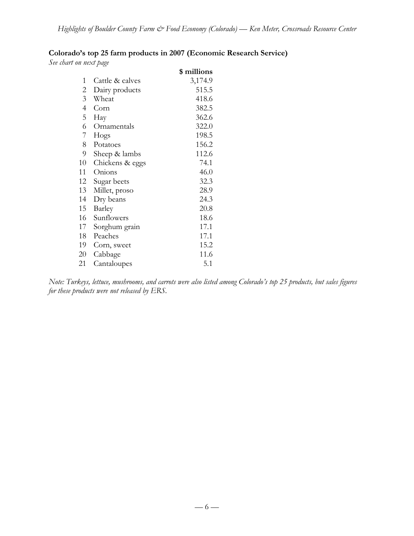# **Colorado's top 25 farm products in 2007 (Economic Research Service)**

*See chart on next page*

|                 | \$ millions |
|-----------------|-------------|
| Cattle & calves | 3,174.9     |
| Dairy products  | 515.5       |
| Wheat           | 418.6       |
| Corn            | 382.5       |
| Hay             | 362.6       |
| Ornamentals     | 322.0       |
| Hogs            | 198.5       |
| Potatoes        | 156.2       |
| Sheep & lambs   | 112.6       |
| Chickens & eggs | 74.1        |
| Onions          | 46.0        |
| Sugar beets     | 32.3        |
| Millet, proso   | 28.9        |
| Dry beans       | 24.3        |
| Barley          | 20.8        |
| Sunflowers      | 18.6        |
| Sorghum grain   | 17.1        |
| Peaches         | 17.1        |
| Corn, sweet     | 15.2        |
| Cabbage         | 11.6        |
| Cantaloupes     | 5.1         |
|                 |             |

*Note: Turkeys, lettuce, mushrooms, and carrots were also listed among Colorado's top 25 products, but sales figures for these products were not released by ERS.*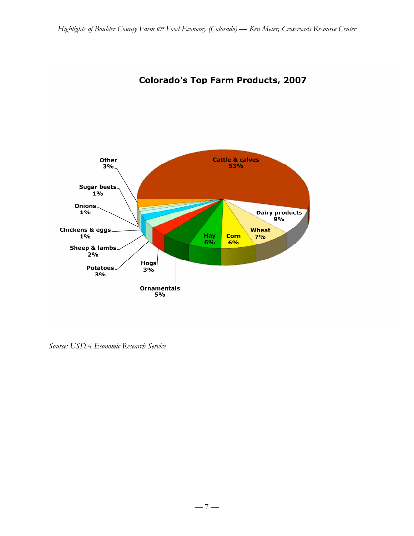

# **Colorado's Top Farm Products, 2007**

*Source: USDA Economic Research Service*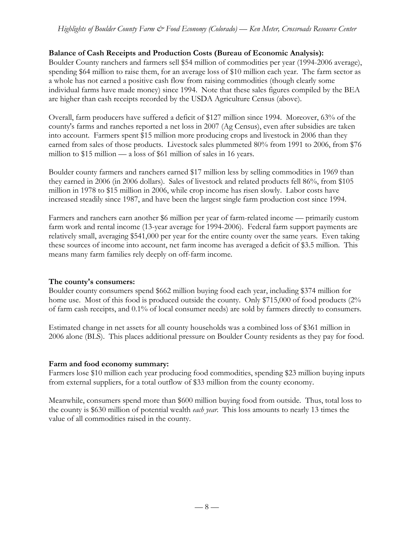### **Balance of Cash Receipts and Production Costs (Bureau of Economic Analysis):**

Boulder County ranchers and farmers sell \$54 million of commodities per year (1994-2006 average), spending \$64 million to raise them, for an average loss of \$10 million each year. The farm sector as a whole has not earned a positive cash flow from raising commodities (though clearly some individual farms have made money) since 1994. Note that these sales figures compiled by the BEA are higher than cash receipts recorded by the USDA Agriculture Census (above).

Overall, farm producers have suffered a deficit of \$127 million since 1994. Moreover, 63% of the county's farms and ranches reported a net loss in 2007 (Ag Census), even after subsidies are taken into account. Farmers spent \$15 million more producing crops and livestock in 2006 than they earned from sales of those products. Livestock sales plummeted 80% from 1991 to 2006, from \$76 million to \$15 million — a loss of \$61 million of sales in 16 years.

Boulder county farmers and ranchers earned \$17 million less by selling commodities in 1969 than they earned in 2006 (in 2006 dollars). Sales of livestock and related products fell 86%, from \$105 million in 1978 to \$15 million in 2006, while crop income has risen slowly. Labor costs have increased steadily since 1987, and have been the largest single farm production cost since 1994.

Farmers and ranchers earn another \$6 million per year of farm-related income — primarily custom farm work and rental income (13-year average for 1994-2006). Federal farm support payments are relatively small, averaging \$541,000 per year for the entire county over the same years. Even taking these sources of income into account, net farm income has averaged a deficit of \$3.5 million. This means many farm families rely deeply on off-farm income.

#### **The county's consumers:**

Boulder county consumers spend \$662 million buying food each year, including \$374 million for home use. Most of this food is produced outside the county. Only \$715,000 of food products (2% of farm cash receipts, and 0.1% of local consumer needs) are sold by farmers directly to consumers.

Estimated change in net assets for all county households was a combined loss of \$361 million in 2006 alone (BLS). This places additional pressure on Boulder County residents as they pay for food.

#### **Farm and food economy summary:**

Farmers lose \$10 million each year producing food commodities, spending \$23 million buying inputs from external suppliers, for a total outflow of \$33 million from the county economy.

Meanwhile, consumers spend more than \$600 million buying food from outside. Thus, total loss to the county is \$630 million of potential wealth *each year*. This loss amounts to nearly 13 times the value of all commodities raised in the county.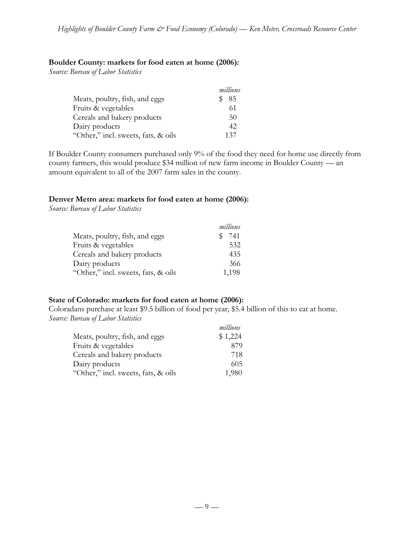#### **Boulder County: markets for food eaten at home (2006):**

*Source: Bureau of Labor Statistics*

|                                     | millions |
|-------------------------------------|----------|
| Meats, poultry, fish, and eggs      | 85       |
| Fruits & vegetables                 | 61       |
| Cereals and bakery products         | 50       |
| Dairy products                      | 42       |
| "Other," incl. sweets, fats, & oils | 137      |

If Boulder County consumers purchased only 9% of the food they need for home use directly from county farmers, this would produce \$34 million of new farm income in Boulder County — an amount equivalent to all of the 2007 farm sales in the county.

#### **Denver Metro area: markets for food eaten at home (2006):**

*Source: Bureau of Labor Statistics*

|                                     | millions |
|-------------------------------------|----------|
| Meats, poultry, fish, and eggs      | 741      |
| Fruits & vegetables                 | 532      |
| Cereals and bakery products         | 435      |
| Dairy products                      | 366      |
| "Other," incl. sweets, fats, & oils | 1,198    |

#### **State of Colorado: markets for food eaten at home (2006):**

Coloradans purchase at least \$9.5 billion of food per year, \$5.4 billion of this to eat at home. *Source: Bureau of Labor Statistics*

|                                     | millions |
|-------------------------------------|----------|
| Meats, poultry, fish, and eggs      | \$1,224  |
| Fruits & vegetables                 | 879      |
| Cereals and bakery products         | 718      |
| Dairy products                      | 605      |
| "Other," incl. sweets, fats, & oils | 1,980    |